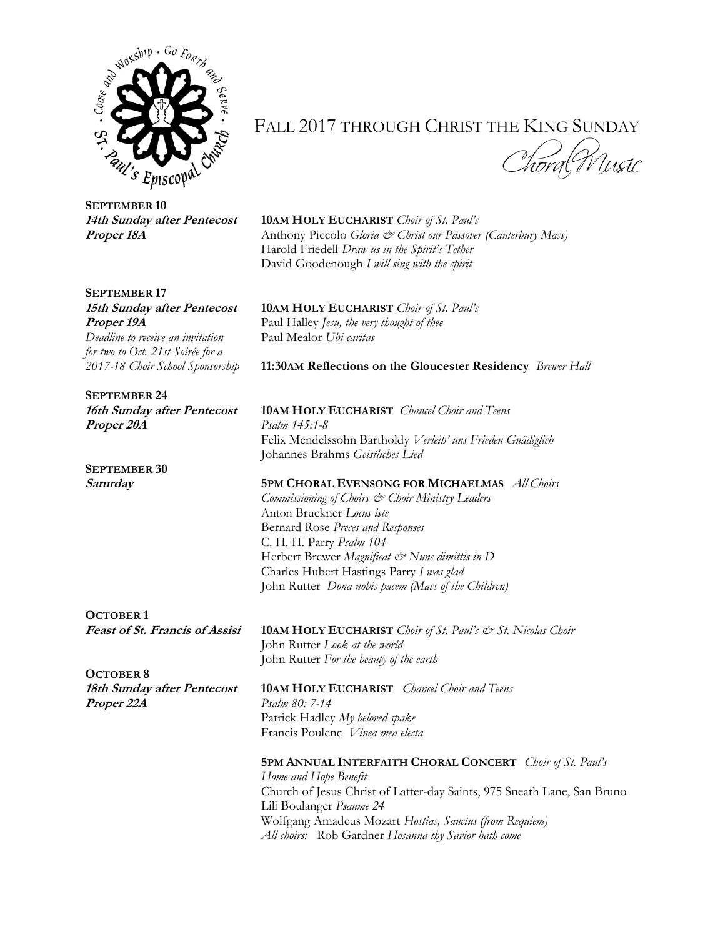

**SEPTEMBER 10**

## **SEPTEMBER 17**

*Deadline to receive an invitation* Paul Mealor *Ubi caritas for two to Oct. 21st Soirée for a* 

**SEPTEMBER 24 Proper 20A** *Psalm 145:1-8*

**SEPTEMBER 30**

**OCTOBER 1**

**OCTOBER 8 Proper 22A** *Psalm 80: 7-14* 

FALL 2017 THROUGH CHRIST THE KING SUNDAY

## **14th Sunday after Pentecost 10AM HOLY EUCHARIST** *Choir of St. Paul's*

**Proper 18A** Anthony Piccolo *Gloria*  $\phi^*$  *Christ our Passover (Canterbury Mass)* Harold Friedell *Draw us in the Spirit's Tether* David Goodenough *I will sing with the spirit*

**15th Sunday after Pentecost 10AM HOLY EUCHARIST** *Choir of St. Paul's* **Proper 19A** Paul Halley *Jesu, the very thought of thee* 

*2017-18 Choir School Sponsorship* **11:30AM Reflections on the Gloucester Residency** *Brewer Hall*

**16th Sunday after Pentecost 10AM HOLY EUCHARIST** *Chancel Choir and Teens*  Felix Mendelssohn Bartholdy *Verleih' uns Frieden Gnädiglich* Johannes Brahms *Geistliches Lied*

**Saturday 5PM CHORAL EVENSONG FOR MICHAELMAS** *All Choirs Commissioning of Choirs & Choir Ministry Leaders*  Anton Bruckner *Locus iste* Bernard Rose *Preces and Responses* C. H. H. Parry *Psalm 104* Herbert Brewer *Magnificat & Nunc dimittis in D* Charles Hubert Hastings Parry *I was glad* John Rutter *Dona nobis pacem (Mass of the Children)*

**Feast of St. Francis of Assisi 10AM HOLY EUCHARIST** *Choir of St. Paul's & St. Nicolas Choir* John Rutter *Look at the world* John Rutter *For the beauty of the earth*

**18th Sunday after Pentecost 10AM HOLY EUCHARIST** *Chancel Choir and Teens* Patrick Hadley *My beloved spake* Francis Poulenc *Vinea mea electa*

## **5PM ANNUAL INTERFAITH CHORAL CONCERT** *Choir of St. Paul's*

*Home and Hope Benefit* Church of Jesus Christ of Latter-day Saints, 975 Sneath Lane, San Bruno Lili Boulanger *Psaume 24* Wolfgang Amadeus Mozart *Hostias, Sanctus (from Requiem) All choirs:* Rob Gardner *Hosanna thy Savior hath come*